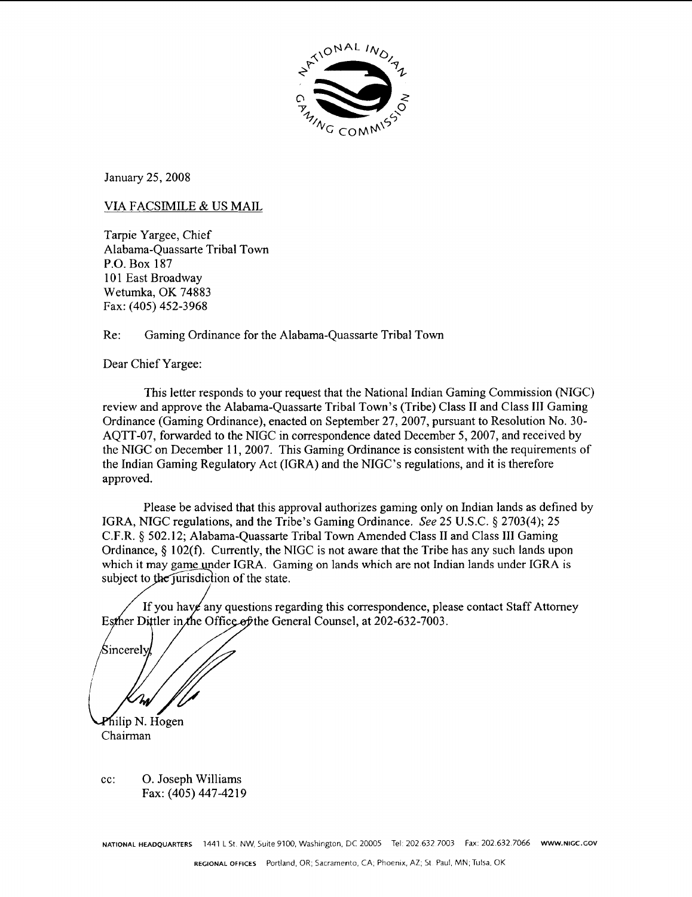

January 25,2008

VIA FACSIMILE & US MAIL

Tarpie Yargee, Chief Alabama-Quassarte Tribal Town P.O. Box 187 101 East Broadway Weturnka, OK 74883 Fax: (405) 452-3968

Re: Gaming Ordinance for the Alabama-Quassarte Tribal Town

Dear Chief Yargee:

This letter responds to your request that the National Indian Gaming Commission (NIGC) review and approve the Alabama-Quassarte Tribal Town's (Tribe) Class I1 and Class 111 Gaming Ordinance (Gaming Ordinance), enacted on September 27, 2007, pursuant to Resolution No. 30- AOTT-07, forwarded to the NIGC in correspondence dated December 5, 2007, and received by the NIGC on December 11, 2007. This Gaming Ordinance is consistent with the requirements of the Indian Gaming Regulatory Act (IGRA) and the NIGC's regulations, and it is therefore approved.

Please be advised that this approval authorizes gaming only on Indian lands as defined by IGRA, NIGC regulations, and the Tribe's Gaming Ordinance. See 25 U.S.C. \$2703(4); 25 C.F.R. \$ 502.12; Alabama-Quassarte Tribal Town Amended Class I1 and Class 111 Gaming Ordinance, \$ 102(f). Currently, the NIGC is not aware that the Tribe has any such lands upon which it may game under IGRA. Gaming on lands which are not Indian lands under IGRA is subject to the jurisdiction of the state.

If you have any questions regarding this correspondence, please contact Staff Attorney Esther Dittler in the Office of the General Counsel, at 202-632-7003.

Sincerely

hilip N. Hogen Chairman

cc: 0. Joseph Williams Fax: (405) 447-4219

NATIONAL HEADQUARTERS 1441 L St. NW, Suite 9100, Washington, DC 20005 Tel: 202.632 7003 Fax: 202.632.7066 www.NlGC.GOV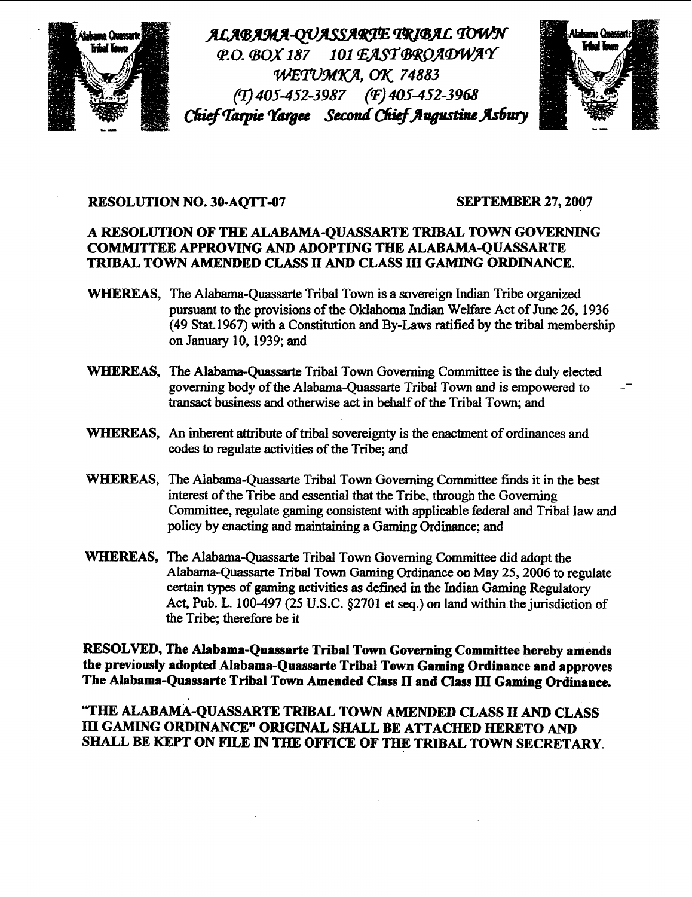

ALABAMA-QUASSARTE TRIBAL TOWN P.O. BOX 187 101 EAST BROADWAY WETUMKA, OK 74883  $(T)$  405-452-3987 (F) 405-452-3968 Chief Tarpie Yargee Second Chief Augustine Asbury



-

# RESOLUTION NO. 30-AQTT-07 **SEPTEMBER 27, 2007**

# A RESOLUTION OF **THE** ALABAMA-QUASSARTE **TRIBAL** TOWN GOVERNING COMMITTEE APPROVING **AND** ADOPTING TIE ALABAMA-QUASSARTE TRIBAL TOWN AMEMDED CLASS **II** AND CLASS **m GAMING** ORDINANCE.

- WHEREAS, The Alabama-Ouassarte Tribal Town is a sovereign Indian Tribe organized pursuant to the provisions of the Oklahoma Indian Welfare Act of June 26, 1936 (49 **Stat.** 1967) with a Constitution and By-Laws ratified by the tribal membership on January 10, 1939; and
- WHEREAS, The Alabama-Quassarte Tribal Town Governing Committee is the duly elected governing body of the Alabarna-Quassarte Tribal **Town** and is empowered to **transact** business and otherwise act in behalf of the Tribal Town; and
- **WHEREAS,** An inherent attribute of tribal sovereignty is the enactment of ordinances and codes to regulate activities of the Tribe; and
- **WHLEREAS,** The **Alabama-Quassarte** Tribal **Town** Governing Committee frnds it in the best interest of the Tribe and essential that the Tribe, through the Governing Committee, regulate gaming consistent with applicable federal and Tribal law and policy by enacting and maintaining a **Gaming** Ordinance; and
- WHEREAS, The Alabama-Quassarte Tribal Town Governing Committee did adopt the Alabarna-Quassarte Tribal Town Gaming Ordinance on May 25,2006 to regulate certain types of gaming activities as defined in the Indian Gaming Regulatory Act, Pub. L. 100-497 (25 U.S.C. \$2701 et seq.) on land within the jurisdiction of the Tribe; therefore be it

RESOLVED, The Alabama-Quassarte Tribal Town Governing Committee hereby amends the previously adopted Alabama-Quassarte Tribal Town Gaming Ordinance and approves The Alabama-Quassarte Tribal Town Amended Class **II** and **Class** III Gaming Ordinance.

"THE ALABAMA-QUASSARTE TRIBAL TOWN AMENDED CLASS **II AND** CLASS **111** GAMING ORDINANCE" ORIGINAL SHALL BE ATTACHED HERETO AND SHALL BE **KEPT** ON **PILE** IN THE **OFF'ICE** OF THE **TRIBAL** TOWN SECRETARY.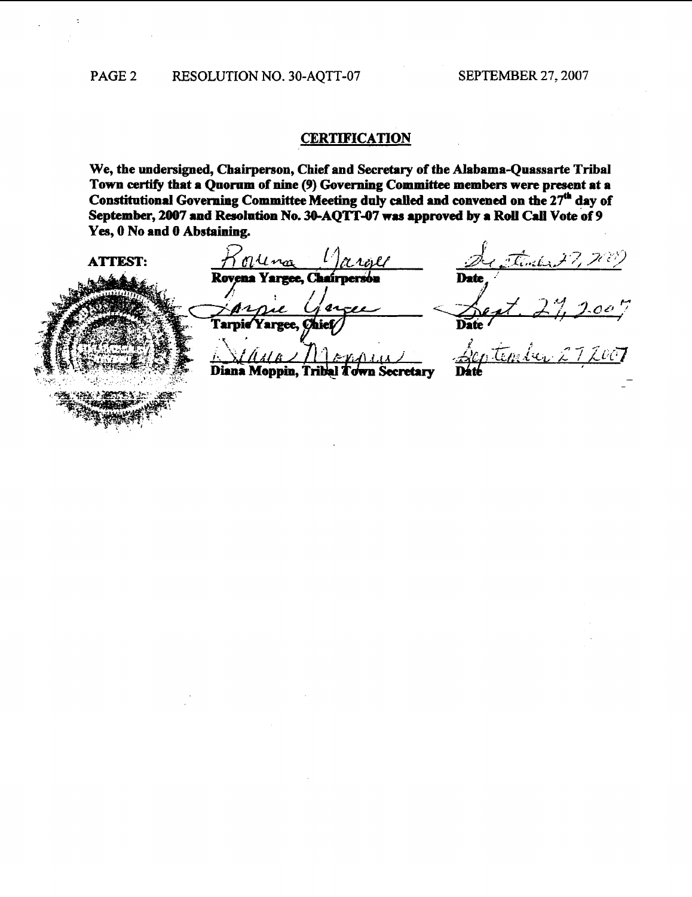þ

# **CERTIFICATION**

We, the undersigned, Chairperson, Chief and Secretary of the Alabama-Quassarte Tribal Town certify that a Quorum of nine (9) Governing Committee members were present at a **Constitutional Governing Committee Meeting duly ded and convened on the 2p day of September, 2007 and Resolution No. 30-AQ'IT-07 was approved by a Roll Call Vote of 9**  *Yes,* **0 No and 0** Abstaining.

| <b>ATTEST:</b> | Muna<br>Carole                      | The Thinks 27, 2009 |
|----------------|-------------------------------------|---------------------|
|                | Rovena Yargee, Chairperson          | Date                |
|                |                                     | 2007                |
|                | Tarpie Yargee, Chief                |                     |
|                |                                     | Deptember 272007    |
|                | Diana Moppin, Tribal Town Secretary |                     |
|                |                                     |                     |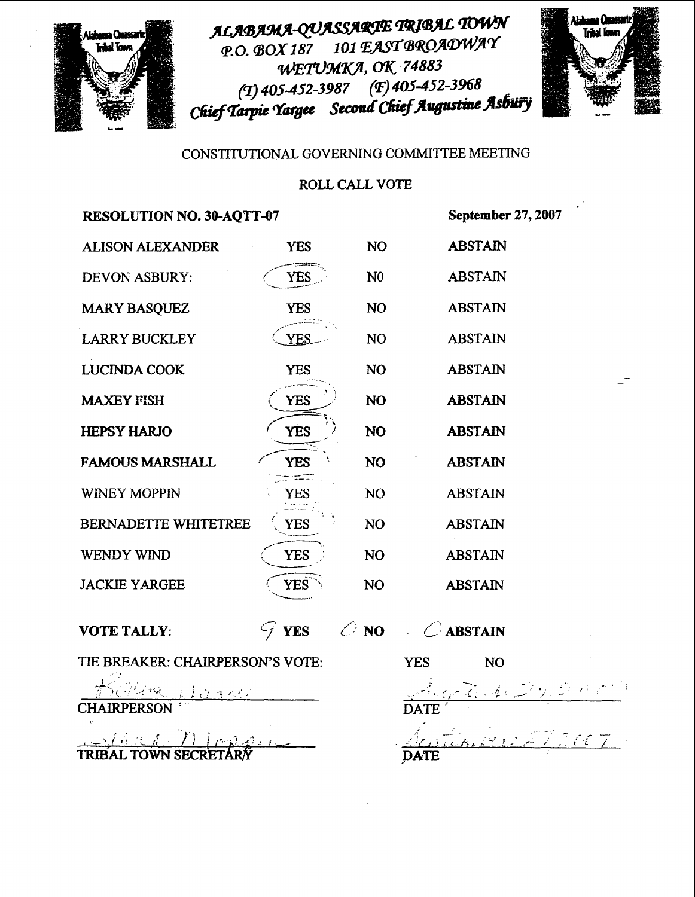

ALABAMA-QUASSARTE TRIBAL TOWN P.O. BOX 187 101 EAST BROADWAY WETUMKA, OK 74883 (T) 405-452-3987 (F) 405-452-3968 Chief Tarpie Yargee Second Chief Augustine Asbury



# **CONSTITUTIONAL GOVERNING COMMITTEE MEETING**

**ROLL CALL VOTE** 

| <b>RESOLUTION NO. 30-AQTT-07</b> |                            |                | September 27, 2007        |  |
|----------------------------------|----------------------------|----------------|---------------------------|--|
| <b>ALISON ALEXANDER</b>          | <b>YES</b>                 | NO             | <b>ABSTAIN</b>            |  |
| <b>DEVON ASBURY:</b>             | YES                        | N <sub>0</sub> | <b>ABSTAIN</b>            |  |
| <b>MARY BASQUEZ</b>              | <b>YES</b>                 | NO             | <b>ABSTAIN</b>            |  |
| <b>LARRY BUCKLEY</b>             | YES.                       | N <sub>O</sub> | <b>ABSTAIN</b>            |  |
| <b>LUCINDA COOK</b>              | <b>YES</b>                 | NO             | <b>ABSTAIN</b>            |  |
| <b>MAXEY FISH</b>                | <b>YES</b>                 | N <sub>O</sub> | <b>ABSTAIN</b>            |  |
| <b>HEPSY HARJO</b>               | <b>YES</b>                 | NO             | <b>ABSTAIN</b>            |  |
| <b>FAMOUS MARSHALL</b>           | <b>YES</b>                 | <b>NO</b>      | <b>ABSTAIN</b>            |  |
| <b>WINEY MOPPIN</b>              | YES                        | NO             | <b>ABSTAIN</b>            |  |
| <b>BERNADETTE WHITETREE</b>      | <b>YES</b>                 | NO             | <b>ABSTAIN</b>            |  |
| WENDY WIND                       | <b>YES</b>                 | N <sub>O</sub> | <b>ABSTAIN</b>            |  |
| <b>JACKIE YARGEE</b>             | <b>YES</b>                 | NO             | <b>ABSTAIN</b>            |  |
| <b>VOTE TALLY:</b>               | <b>YES</b><br>$\epsilon_f$ | $\oslash$ NO   | $\sim$ $\bigcirc$ ABSTAIN |  |
| TIE BREAKER: CHAIRPERSON'S VOTE: |                            |                | <b>YES</b><br><b>NO</b>   |  |

**CHAIRPERSON** 

**TRIBAL TOWN SECRETARY DATE** 

**I.:** -. --. - . - **a-.\_** . **I.** . . : , .,  $\mathcal{L} = \{ \mathcal{L}_1, \ldots, \mathcal{L}_n \}$  $\frac{1}{2}$ .- **f** : -- .- - . . . -- ... ( '! :,c.,!; .. )..j ,i >... **-1 A** ... . . ,- .- --, ' '- *fir* **-2:** .?. [ ., . -.'.,/ : ,: ' ,.[.&& <:-t \* ,.- , ,. , **.l.** /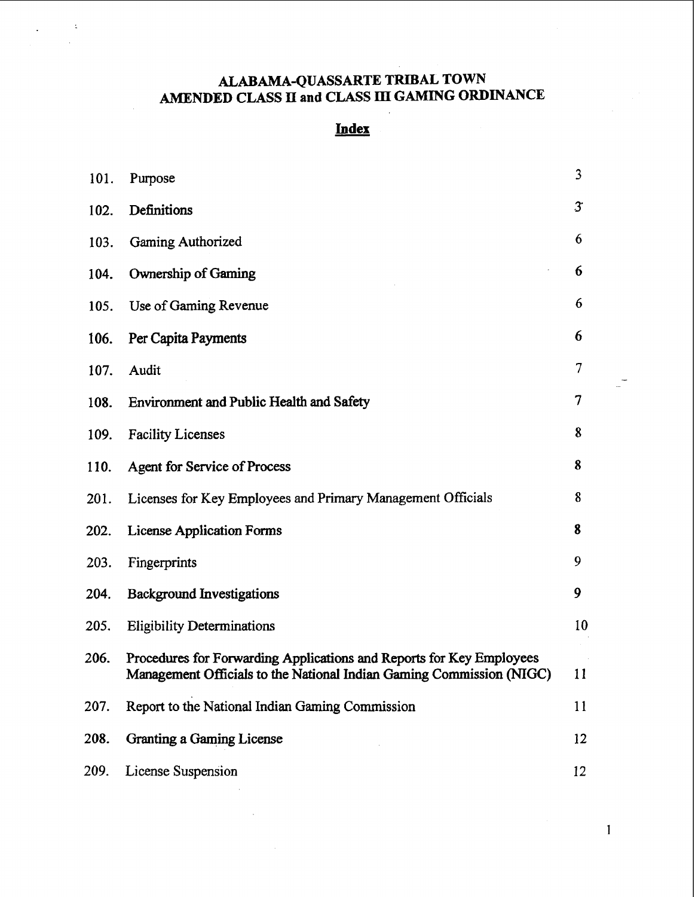# **ALABAMA-QUASSARTE TRIBAL TOWN AMENDED CLASS II and CLASS III GAMING ORDINANCE**  SARTE TRII<br>LASS III GA<br><u>Index</u>

 $\ddot{\cdot}$ 

 $\ddot{\phantom{1}}$ 

| 101. | Purpose                                                                                                                                      | 3              |
|------|----------------------------------------------------------------------------------------------------------------------------------------------|----------------|
| 102. | Definitions                                                                                                                                  | $\mathfrak{Z}$ |
| 103. | <b>Gaming Authorized</b>                                                                                                                     | 6              |
| 104. | Ownership of Gaming                                                                                                                          | 6              |
| 105. | Use of Gaming Revenue                                                                                                                        | 6              |
| 106. | Per Capita Payments                                                                                                                          | 6              |
| 107. | Audit                                                                                                                                        | 7              |
| 108. | <b>Environment and Public Health and Safety</b>                                                                                              | 7              |
| 109. | <b>Facility Licenses</b>                                                                                                                     | 8              |
| 110. | <b>Agent for Service of Process</b>                                                                                                          | 8              |
| 201. | Licenses for Key Employees and Primary Management Officials                                                                                  | 8              |
| 202. | <b>License Application Forms</b>                                                                                                             | 8              |
| 203. | Fingerprints                                                                                                                                 | 9              |
| 204. | <b>Background Investigations</b>                                                                                                             | 9              |
| 205. | <b>Eligibility Determinations</b>                                                                                                            | 10             |
| 206. | Procedures for Forwarding Applications and Reports for Key Employees<br>Management Officials to the National Indian Gaming Commission (NIGC) | 11             |
| 207. | Report to the National Indian Gaming Commission                                                                                              | 11             |
| 208. | Granting a Gaming License                                                                                                                    | 12             |
| 209. | License Suspension                                                                                                                           | 12             |

 $\mathbf{1}$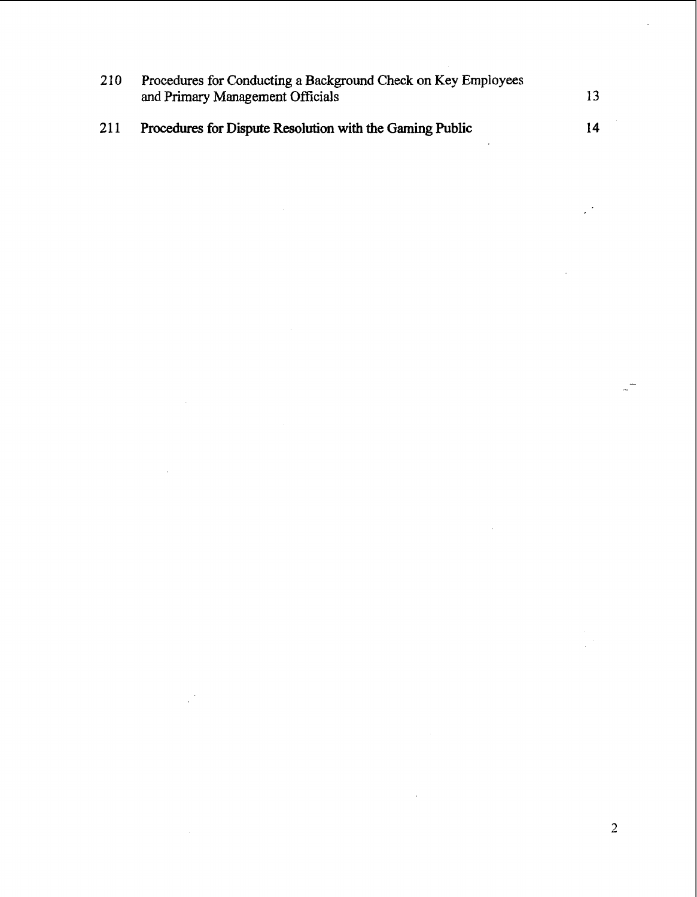| 210 | Procedures for Conducting a Background Check on Key Employees<br>and Primary Management Officials | 13 |
|-----|---------------------------------------------------------------------------------------------------|----|
| 211 | Procedures for Dispute Resolution with the Gaming Public                                          | 14 |

 $\mathcal{L}^{\text{max}}_{\text{max}}$  and  $\mathcal{L}^{\text{max}}_{\text{max}}$ 

 $\frac{1}{2}$ 

 $\overline{c}$ 

 $\begin{aligned} \frac{1}{\sqrt{2}}\mathbf{1}_{\mathcal{A}}\mathbf{1}_{\mathcal{A}}\mathbf{1}_{\mathcal{A}}\mathbf{1}_{\mathcal{A}}\mathbf{1}_{\mathcal{A}}\mathbf{1}_{\mathcal{A}}\mathbf{1}_{\mathcal{A}}\mathbf{1}_{\mathcal{A}}\mathbf{1}_{\mathcal{A}}\mathbf{1}_{\mathcal{A}}\mathbf{1}_{\mathcal{A}}\mathbf{1}_{\mathcal{A}}\mathbf{1}_{\mathcal{A}}\mathbf{1}_{\mathcal{A}}\mathbf{1}_{\mathcal{A}}\mathbf{1}_{\mathcal{A}}\mathbf{1}_{\mathcal{A}}\$ 

 $\frac{1}{2}$ 

 $\mathbb{R}^3$ 

 $\hat{\mathcal{L}}$ 

 $\label{eq:2.1} \frac{1}{2} \int_{\mathbb{R}^3} \frac{1}{\sqrt{2}} \left( \frac{1}{\sqrt{2}} \right)^2 \frac{1}{\sqrt{2}} \left( \frac{1}{\sqrt{2}} \right)^2 \frac{1}{\sqrt{2}} \left( \frac{1}{\sqrt{2}} \right)^2 \frac{1}{\sqrt{2}} \left( \frac{1}{\sqrt{2}} \right)^2 \frac{1}{\sqrt{2}} \left( \frac{1}{\sqrt{2}} \right)^2 \frac{1}{\sqrt{2}} \left( \frac{1}{\sqrt{2}} \right)^2 \frac{1}{\sqrt{2}} \left( \frac{1}{\sqrt{2}} \right)^2 \frac{$ 

 $\frac{1}{2}$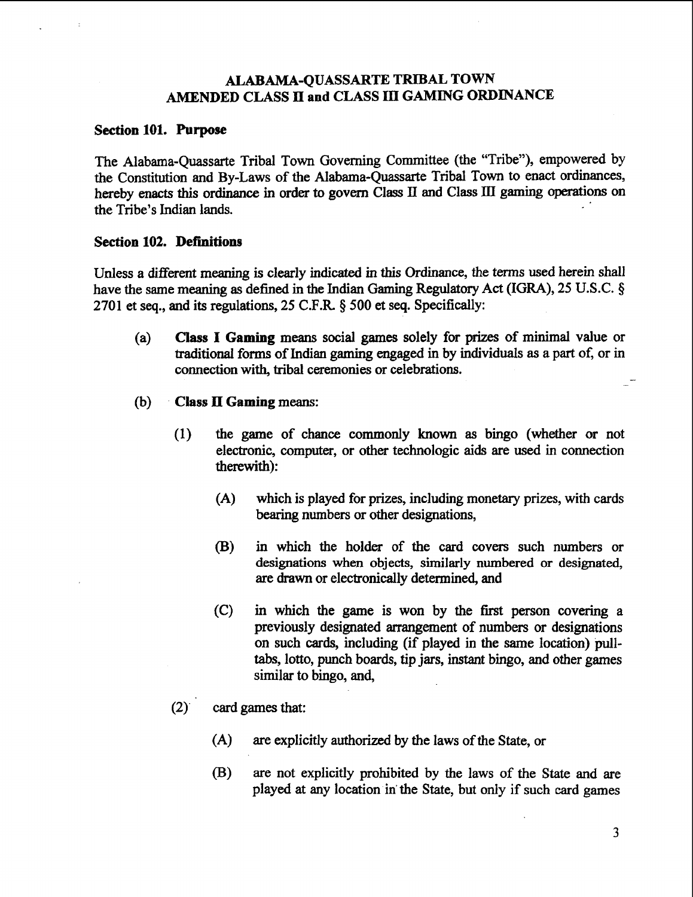# **ALABAMA-QUASSARTE TRIBAL TOWN AMENDED CLASS II and CLASS 111 GAMING ORDINANCE**

# **Section 101. Purpose**

The Alabama-Quassarte Tribal Town Governing Committee (the "Tribe"), empowered by the Constitution and By-Laws of the Alabama-Quassarte Tribal Town to enact ordinances, hereby enacts this ordinance in order to govern Class **I1** and Class **III** gaming operations on the Tribe's Indian lands.

# **Section 102. Definitions**

Unless a different meaning is clearly indicated in this Ordinance, the terms used herein shall have the same meaning as defined in the Indian Gaming Regulatory Act (IGRA), 25 U.S.C. **5**  2701 et seq., and its regulations, 25 C.F.R \$ 500 et seq. Specifically:

- (a) **Class I Gaming** means social games solely for prizes of minimal value or traditional forms of Indian gaming engaged in by individuals as a part of, or in connection with, tribal ceremonies or celebrations.
- (b) . **Class 11 Gaming** means:
	- **(1)** the game of chance commonly known as bingo (whether or not electronic, computer, or other technologic aids are used in connection therewith):
		- **(A)** which is played for prizes, including monetary prizes, with cards bearing numbers or other designations,
		- **(B)** in which the holder of the card covers such numbers or designations when objects, similarly numbered or designated, are drawn or electronically determined, and
		- **(C)** in which the game is won by the first person covering a previously designated arrangement of numbers or designations on such **cards,** including (if played in the same location) pulltabs, lotto, punch boards, tip jars, instant bingo, and other games similar to bingo, and,
	- *(2).* card games that:
		- **(A)** are explicitly authorized by the laws of the State, or
		- (B) are not explicitly prohibited by the laws of the State and are played at any location in'the State, but only if such card games

3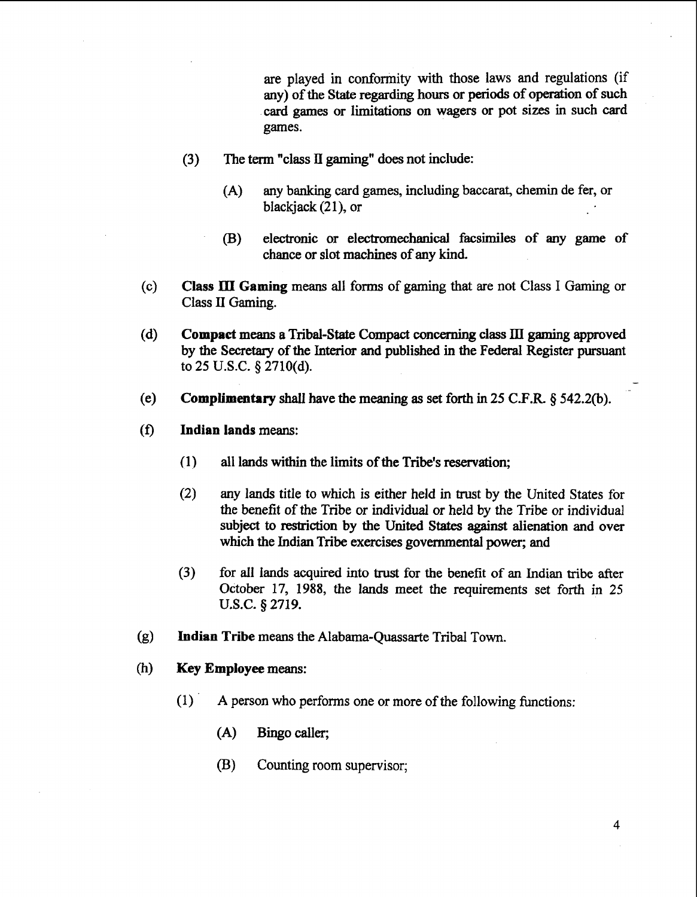are played in conformity with those laws and regulations (if any) of the State regarding hours or periods of operation of such card games or limitations on wagers or pot sizes in such card games.

- **(3)** The tem "class **TI** gaming" does not include:
	- **(A)** any banking card games, including baccarat, chemin de fer, or blackjack (21), or
	- **(B)** electronic or electromechanical facsimiles of any game of chance or slot machines of any kind.
- *(c)* **Class** III **Gaming** means **all** forms of gaming that are not Class I Gaming or Class **I1** Gaming.
- **(d) Compact means a Tribal-State** Compact concerning class **III gaming** approved by the Secretary of the Interior and published in the Federal Register pursuant to 25 U.S.C. **5** 2710(d). -
- (e) **Complimentary** shall have **the** meaning as set forth in 25 **C.F.R** \$ 542.2(b).
- **(f) Indian lands** means:
	- **(1)** all lands within the limits of the Tribe's reservation;
	- **(2)** any lands title to which is either held in trust by the United States for the benefit of the Tribe or individual or held by the Tribe or individual subject to restriction by the United **States** against alienation and over which the Indian Tribe exercises governmental power; and
	- **(3)** for dl lands acquired into trust for the benefit of an Indian tribe after October 17, 1988, the lands meet the requirements set forth in 25 U.S.C. \$2719.
- (g) **Indian Tribe** means the Alabama-Quassarte Tribal Town.
- (h) **Key Employee** means:
	- (1) ' A person who performs one or more of the following functions:
		- **(A) Bingo caller;**
		- (B) Counting room supervisor;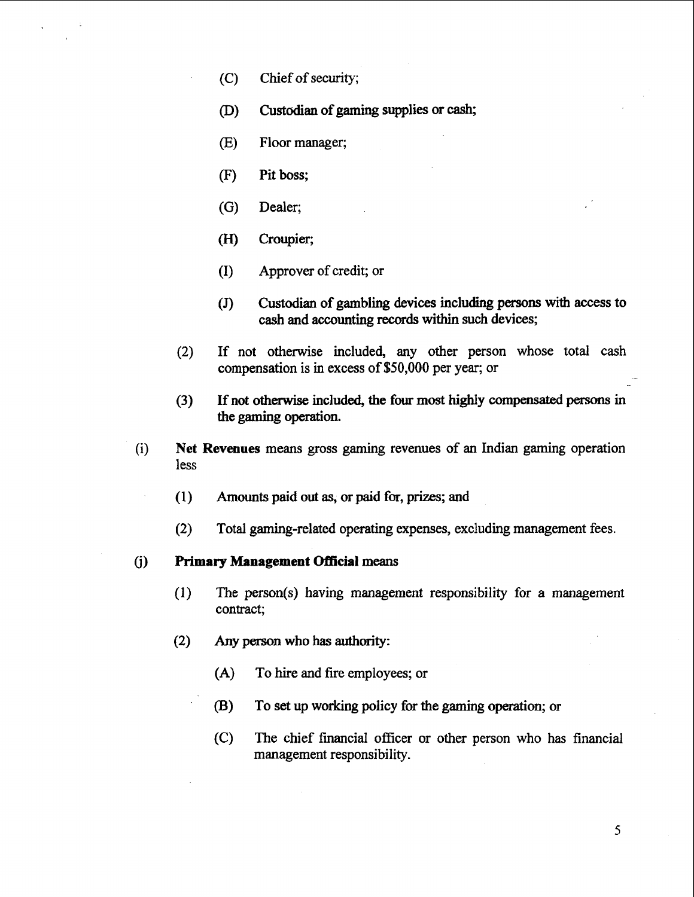- (C) Chief of security;
- @) **Custodian** of **gaming** supplies or cash;
- (E) Floor manager;
- (F) Pit boss;
- (G) Dealer;
- (H) Croupier;
- (I) Approver of credit; or
- **(J)** Custodian of gambling devices including persons with access to cash and accounting **records** within such devices;
- (2) If not otherwise included, any other person whose total cash compensation is in excess of \$50,000 per year; or
- **(3)** If not otherwise included, the four most highly compemated persons in the gaming operation.
- (i) Net **Revenues** means gross gaming revenues of an Indian gaming operation less
	- **(1)** Amounts paid out as, or paid for, prizes; and
	- (2) Total gaming-related operating expenses, excluding management fees.

## 0) **Primary Management Official means**

- **(1)** The person(s) having management responsibility for a management contract;
- **(2) Any pecson** who **has authority:** 
	- **(A)** To hire and fire employees; or
	- **(B)** To set up working policy for the gaming operation; or
	- *(C)* The chief financial officer or other person who has financial management responsibility.

 $5<sup>1</sup>$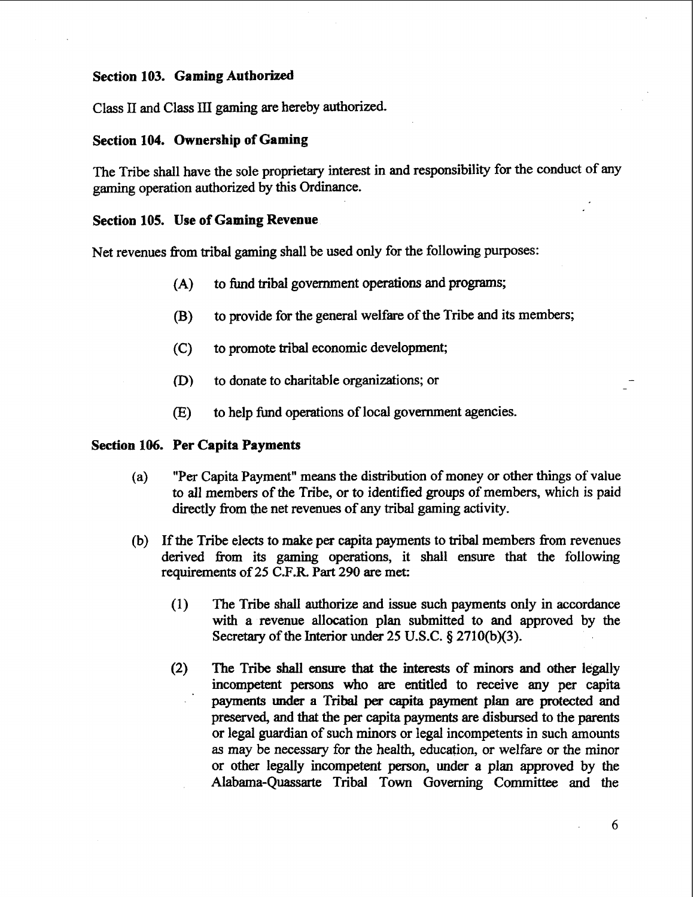# **Section 103. Gaming Authorized**

Class 11 and Class III gaming are hereby authorized.

# **Section 104. Ownership of Gaming**

The Tribe shall have the sole proprietary interest in and responsibility for the conduct of any gaming operation authorized by this Ordinance.

## **Section 105. Use of Gaming Revenue**

Net revenues fiom tribal gaming shall be used only for the following purposes:

- **(A)** to fund tribal government operations and programs;
- **(B)** to provide for the general welfare of the Tribe and its members;
- **(C)** to promote tribal economic development;
- (D) to donate to charitable organizations; or
- (E) to help fund operations of local government agencies.

## **Section 106. Per Capita Payments**

- (a) "Per Capita Payment" means the distribution of money or other things of value to all members of the Tribe, or to identified groups of members, which is paid directly from the net revenues of any tribal gaming activity.
- (b) If the Tribe elects to make per capita payments to tribal members fiom revenues derived fiom its gaming operations, it shall ensure that the following requirements of 25 C.F.R. Part 290 are met:
	- (1) The Tribe shall authorize and issue such payments only in accordance with a revenue allocation plan submitted to and approved by the Secretary of the Interior under 25 U.S.C. *§* 2710(b)(3).
	- (2) The Tribe shall ensure **that** the interests of **minors and** other legally incompetent persons who are entitled to receive **any** per capita ' **payments under** a Tribal per capita **payment plan** are **protected** and preserved, and that the per capita payments are disbursed to the parents or legal guardian of such minors or legal incompetents in such amounts as may be necessary for the health, education, or welfare or the minor or other legally incompetent person, under a plan approved by the Alabama-Quassarte Tribal Town Governing Committee and the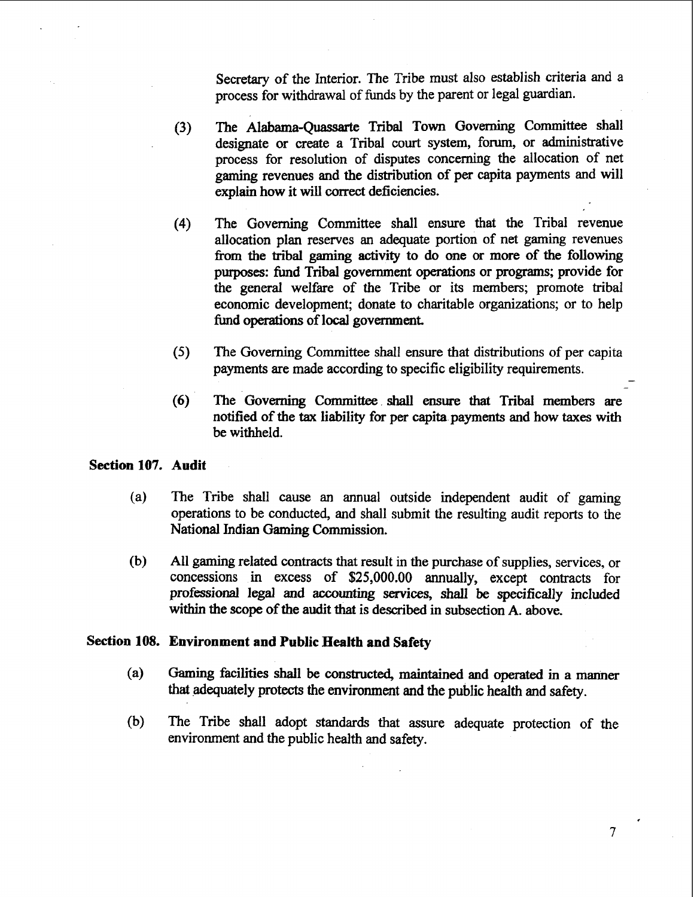Secretary of the Interior. The Tribe must also establish criteria and a process for withdrawal of funds by the parent or legal guardian.

- **(3)** The Alabama-Quassarte Tribal Town Governing Committee shall designate or create a Tribal court system, forum, or administrative process for resolution of disputes concerning the allocation of net gaming revenues and the distribution of per capita payments and will explain how it will correct deficiencies.
- (4) The Governing Committee shall ensure that the Tribal revenue allocation plan reserves an adequate portion of net gaming revenues from the tribal gaming activity to do one or more of the following purposes: fund Tribal government operations or programs; provide for the general welfare of the Tribe or its members; promote tribal economic development; donate to charitable organizations; or to help fund operations of local government.
- **(5)** The Governing Committee shall ensure that distributions of per capita payments are made according to specific eligibility requirements. -
- *(6)* The Governing **Committee** shall **ensure** that Tribal members are notified of the tax liability for per capita payments and how **taxes** with be withheld.

## **Section 107. Audit**

- (a) The Tribe shall cause an annual outside independent audit of gaming operations to be conducted, and shall submit the resulting audit reports to the National Indian Gaming Commission.
- (b) All **gaming** related contracts that result in the purchase of supplies, services, or concessions in excess of \$25,000.00 annually, except contracts for professional legal and accounting services, shall be specifically included within the scope of the audit that is described in subsection A. above.

# **Section 108. Environment and Public Health and Safety**

- (a) Gaming facilities shall be constructed, maintained and operated in a manner that adequately protects the environment and the public health and safety.
- (b) The Tribe shall adopt standards that assure adequate protection of the environment and the public health and safety.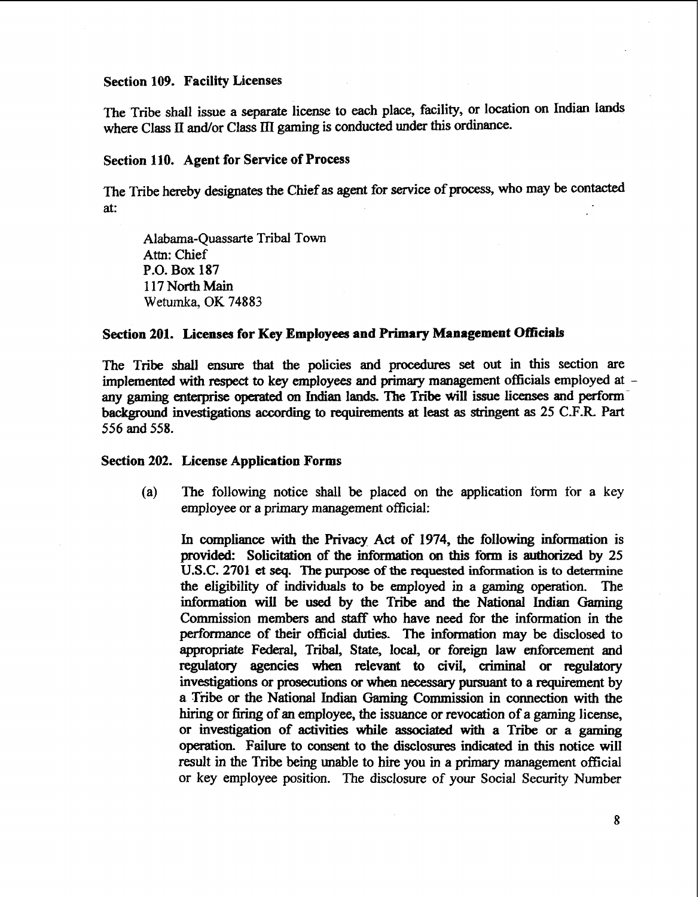#### **Section 109. Facility Licenses**

The Tribe shall issue a separate license to each place, facility, or location on Indian lands where Class II and/or Class III gaming is conducted under this ordinance.

#### **Section 110. Agent for Service of Process**

The Tribe hereby designates the Chief as agent for service of **process,** who may be contacted at:

Alabama-Quassarte Tribal Town **Attn:** Chief P.O. Box **187**  1 17 North Main Wetuinka, OK **74883** 

#### **Section 201. Licenses for Key Employees and Primary Management Oflicials**

The Tribe shall **ensure** that the policies and procedures set out in this section are implemented with respect to key employees and **primary** management officials employed at any gaming enterprise operated on Indian lands. The Tribe will issue licenses and perform background investigations according to requirements **at** least as stringent as 25 **C.F.R Part 556 and 558.** 

#### **Section 202. License Application Forms**

**(a)** The following notice shall be placed on the application form for a key employee or a primary management official:

In compliance with the Privacy **Act** of 1974, the following information is provided: Solicitation of the infixmation on this **ibrm** is authorized by **25**  U.S.C. **2701 et seq. The purpose of the requested information** is to determine the eligibility of individuals to be employed in a **gaming** operation. The information will be used by the Tribe and the National Indian Gaming Commission members and staff who have need for the information in the performance of their official duties. The information may be disclosed to appropriate Federal, Tribal, State, local, or foreign law enforcement and regulatory agencies **when** relevant to civil, criminal **or regulatory**  investigations or prosecutions or when necessary pursuant to a requirement by a **Tiibe** or the National Indian **Gaming** Commission in connection with the hiring or firing of an employee, the issuance or revocation of a gaming license, or investigation of activities while **associated** with a **Tribe or** a gaming operation. Failure to consent to the disclosures indicated in this notice will result in the Tribe being unable to hire you in a primary management official or key employee position. The disclosure of your Social Security Number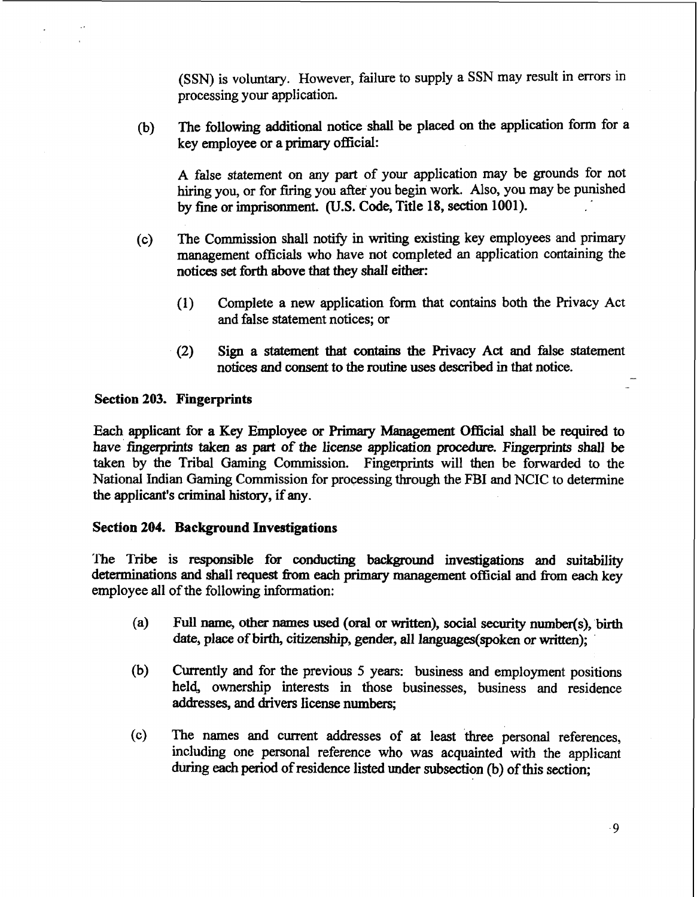(SSN) is voluntary. However, failure to supply a SSN may result in errors in processing your application.

(b) The following additional notice shall be placed on the application form for a key employee or a primary official:

A false statement on any part of your application may be grounds for not hiring you, or for firing you after you begin work. Also, you may be punished by fine or imprisonment. **(U.S.** Code, Title 18, section 1001).

- (c) The Commission shall notify in writing existing key employees and primary management officials who have not completed **an** application containing the notices set forth above that they shall either:
	- (1) Complete a new application fom that contains both the Privacy Act **and** false statement notices; or
	- **(2)** Sign a statement that contains the Privacy Act and **Mse** statement notices and **consent** to the routine uses described in that notice. -

# **Section 203. Fingerprints**

Each applicant for a Key Employee or Primary Management Official shall be required to have fingerprints taken as part of the license application procedure. Fingerprints shall be taken by the Tribal Gaming Commission. Fingerprints will then be forwarded to the National Indian Gaming Commission for processing through the FBI and NCIC to determine the applicant's criminal history, if any.

# **Section 204. Background Investigations**

'l'he Tribe is responsible for conducting background investigations and suitability determinations and shall request from each primary management official and from each key employee all of the following information:

- (a) Full name, other names used (oral or written)? social **security** number(s), birth date, place of birth, citizenship, gender, all languages(spoken or written);
- (b) Currently and for the previous 5 years: business and employment positions held, ownership interests in those businesses, business and residence addresses, and drivers license numbers:
- (c) The names and current addresses of at least three personal references, including one personal reference who was acquainted with the applicant during each period of residence listed under subsection (b) of this section;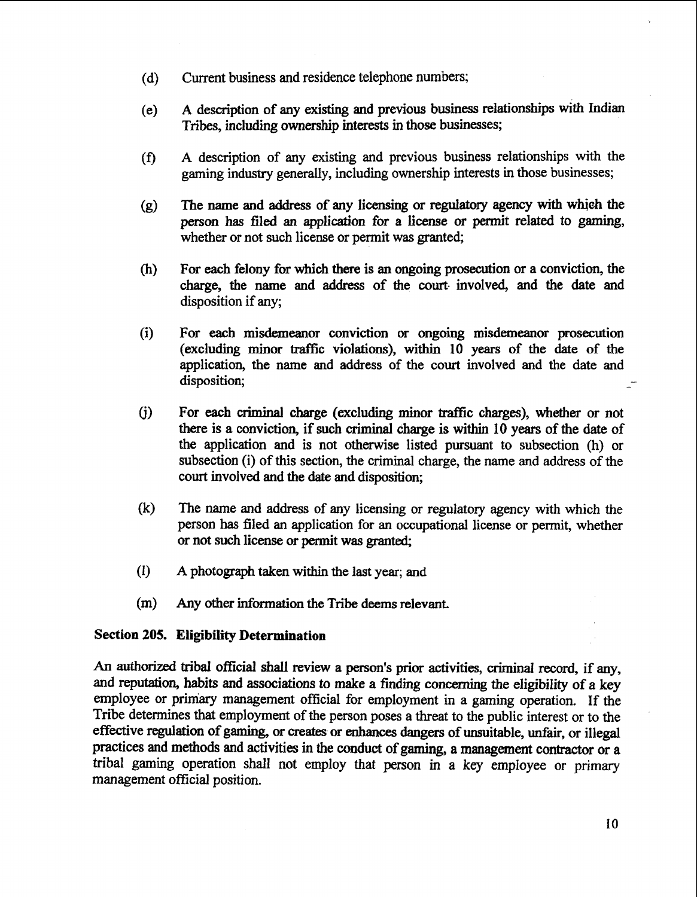- (d) Current business and residence telephone numbers;
- (e) A description of any existing and previous **business** relationships with Indian Tribes, including ownership interests in those businesses;
- (0 A description of any existing and previous business relationships with the gaming industry generally, including ownership interests in those businesses;
- $(g)$  The name and address of any licensing or regulatory agency with which the person has filed **an** application for a license or permit related to gaming, whether or not such license or permit was granted;
- $(h)$  For each felony for which there is an ongoing prosecution or a conviction, the charge, the name and address of the **court-** involved, and the date and disposition if any;
- (i) For each misdemeanor conviction or ongoing misdemeanor prosecution (excluding minor tmffic violations), within 10 years of the date of the application, the name and address of the court involved and the date and disposition;
- Cj) For each rriminal charge (excluding minor traffic charges), whether or not there is a conviction, if such criminal charge is within 10 years of the date of the application and is not otherwise listed pursuant to subsection (h) or subsection (i) of this section, the criminal charge, the name and address of the court involved and the date and disposition;
- **(k)** The name and address of any licensing or regulatory agency with which the person has filed an application for an occupational license or permit, whether or not such license or permit was granted;
- **(1)** A photograph taken within the last year; and
- **(m)** Any other information the Tribe **deems** relevant.

# **Section 205. Eligibility Determination**

An authorized tribal official shall review a person's prior activities, **criminal** record, if any, and reputation, habits and associations to make a finding concerning the eligibility of a key employee or primary management official for employment in a gaming operation. If the Tribe determines that employment of the person poses a threat to the public interest or to the effective regulation of gaming, or creates or enhances dangers of unsuitable, unfair, or illegal practices and methods and activities in the conduct of gaming, a management contractor or a tribal gaming operation shall not employ that person in a key employee or primary management official position.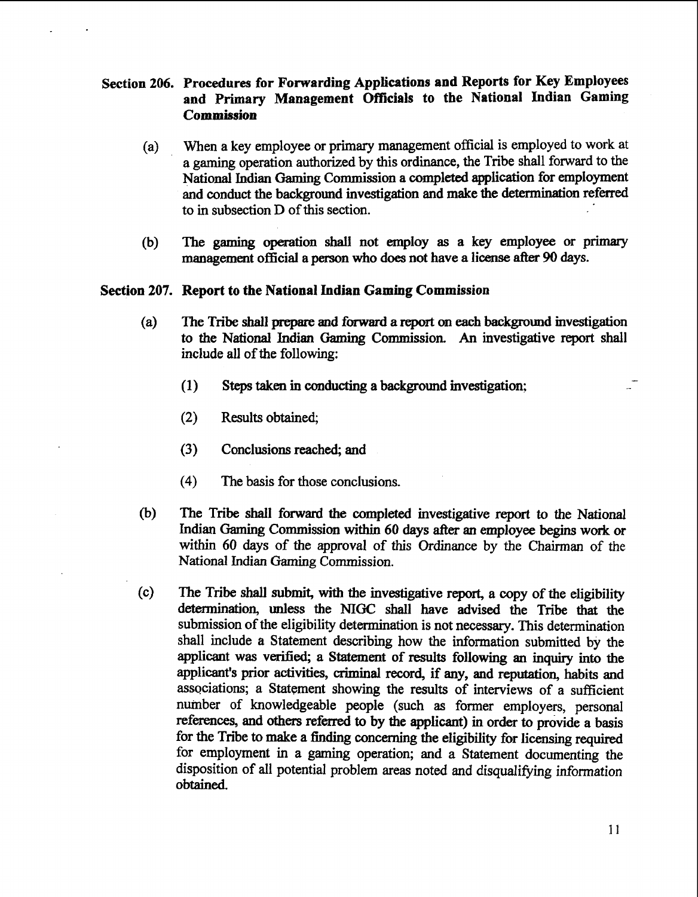# **Section 206. Procedures for Forwarding Applications and Reports for Key Employees and Primary Management Oficials to the National Indian Gaming Commission**

- (a) When a key employee or primary management official is employed to work at a gaming operation authorized by this ordinance, the Tribe shall forward to the National Indian Gaming Commission a completed application for employment and conduct the background investigation and make the determination referred to in subsection D of this section.
- (b) **The** gaming operation shall not employ as a key employee or primary management official a person who does not have a license **after** 90 days.

# **Section 207. Report to the National Indian Gaming Commission**

- (a) The Tribe shall prepare and forward a report on each background investigation to the National Indian *Gaming* Commission. An investigative report shall include all of the following:
	- (1) Steps **taken** in conducting a background investigation;
	- (2) Results obtained;
	- (3) Conclusions reached; and
	- **(4)** The basis for those conclusions.
- (b) The Tribe shall forward the completed investigative report to the National Indian Gaming Commission within 60 days after **an** employee begins work or within 60 days of the approval of this Ordinance by the Chairman of the National Indian **Gaming** Commission.
- (c) The Tribe shall submit, with the investigative report, a copy of the eligibility determination, unless the **NIGC** shall have advised the Tribe that the submission of the eligibility determination is not necessary. This determination shall include a Statement describing how the information submitted by the applicant was verified; a Statement of results following **an** inquiry into the applicant's prior activities, **criminal** record, if any, and reputation, habits and asssciations; a Statement showing the results of interviews of a sufficient number of knowledgeable people (such as former employers, personal references, and others referred to by the applicant) in order to provide a basis for the Tribe to **make** a finding concerning the eligibility for licensing **required**  for employment in a gaming operation; and a Statement documenting the disposition of all potential problem areas noted and disqualifying information obtained.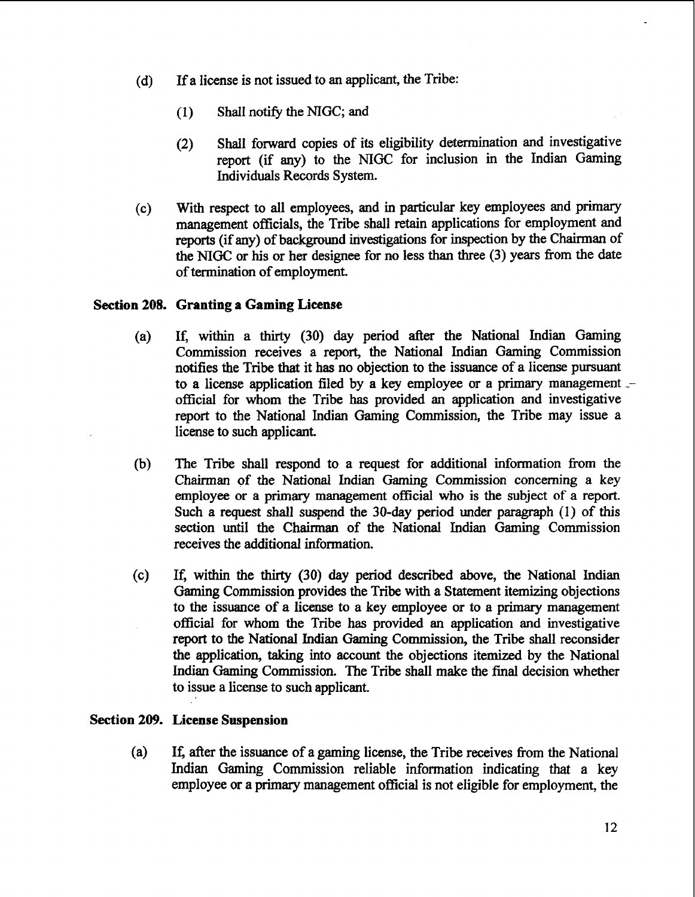- (d) If a license is not issued to an applicant, the Tribe:
	- **(1)** Shall notify the **NIGC;** and
	- *(2)* Shall forward copies of its eligibility determination and investigative report (if any) to the MGC for inclusion in the Indian Gaming Individuals Records System.
- (c) With respect to all employees, and in particular key employees and primary management officials, the Tribe shall retain applications for employment and reports (if any) of background investigations for inspection by the Chairman of the **NIGC** or his or her designee for no less than three (3) years fiom the date of termination of employment.

# **Section 208. Granting a Gaming License**

- (a) If, within a thirty (30) day period after the National Indian Gaming Commission receives a report, the National Indian Gaming Commission notifies the Tribe **that** it has no objection to the issuance of a license pursuant to a license application filed by a key employee or a primary management -official for whom the Tribe has provided an application and investigative report to the National Indian Gaming Commission, the Tribe may issue a license to such applicant.
- (b) The Tribe shall respond to a request for additional information fiom the Chairman of the National Indian Gaming Commission concerning a key employee or a primary management official who is the subject of a report. Such a request shall suspend the 30-day period under paragraph (1) of this section until the **Chairman** of the National Indian Gaming Commission receives the additional information.
- *(c)* **If,** within the thirty (30) day period described above, the National Indian Gaming Commission provides the Tribe with a Statement itemizing objections to the issuance of a license to a **key** employee or to a primary management official for whom the Tribe has provided an application and investigative report to the National Indian **Gaming** Commission, the Tribe shall reconsider the application, taking into account the objections itemized by the National Indian Gaming Commission. The Tribe shall make the final decision whether to issue a license to such applicant.

# **Section 209. License Suspension**

(a) If, after the issuance of a gaming license, the Tribe receives fiom the National Indian **Gaming** Commission reliable information indicating that a key employee or a primary management official is not eligible for employment, the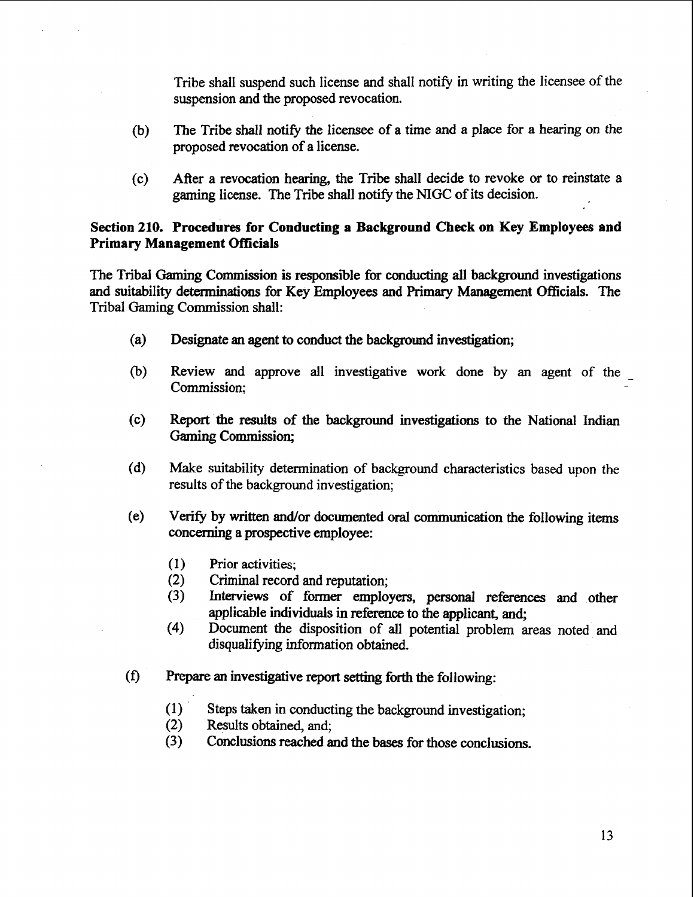Tribe shall suspend such license and shall notify in writing the licensee of the suspension and the proposed revocation.

- (b) The Tribe shall notify the licensee of a time and a place for a hearing on the proposed revocation of a license.
- (c) After a revocation hearing, the Tribe shall decide to revoke or to reinstate a gaming license. The Tribe shall notify the MGC of its decision.

# **Section 210. Procedures for Conducting a Background Check on Key Employees and Primary Management Officials**

The Tribal Gaming Commission is responsible for **conducting** all background investigations and suitability determinations for Key Employees and Primary Management Officials. The Tribal Gaming Commission shall:

- (a) Designate an agent to conduct the background investigation;
- (b) Review and approve all investigative work done by an agent of the  $\overline{\phantom{a}}$  $\frac{1}{2}$ Commission;
- (c) Report the results of the background investigations to the National Indian Gaming Commission;
- (d) Make suitability determination of background characteristics based upon the results of the background investigation;
- (e) Verify by written andlor documented oral communication the following items concerning a prospective employee:
	- (1) Prior activities;
	- (2) Criminal record and reputation;
	- (3) Interviews of former employers, **personal** references and other applicable individuals in reference to the applicant, and;
	- **(4)** Document the disposition of all potential problem areas noted and disqualifying information obtained.
- **(f)** Prepare an investigative report setting forth the following:
	- (1) Steps taken in conducting the background investigation;<br>(2) Results obtained, and;
	- Results obtained, and;
	- (3) Conclusions reached and the bases for those conclusions.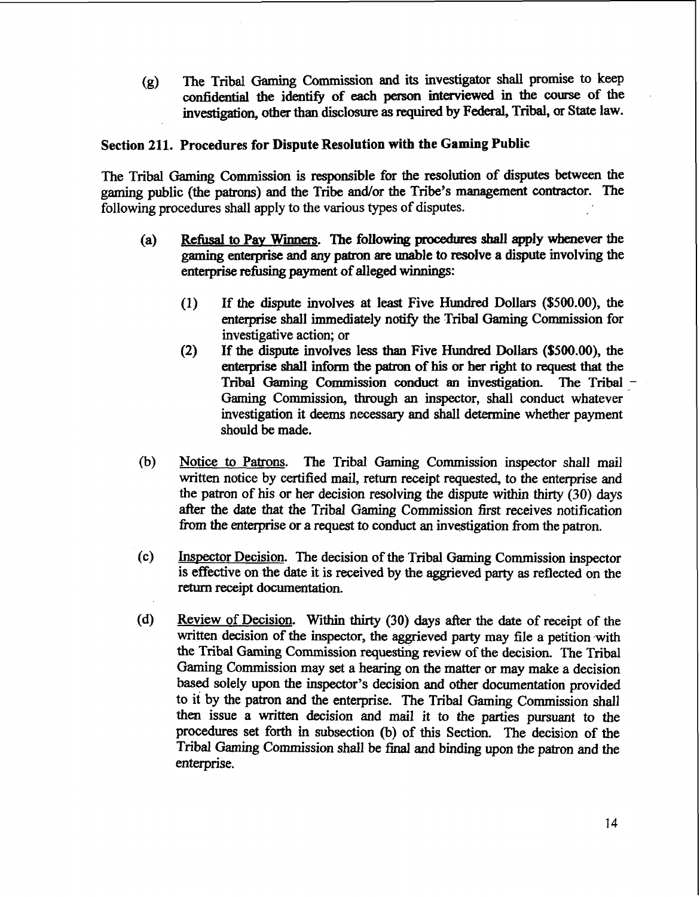(g) The Tribal Gaming Commission and its **investigator** shall promise to **keep**  confidential the identify of each person interviewed in the course of the investigation, other than disclosure as required by **Federal,** Tribal, or **State** law.

# **Section 211. Procedures for Dispute Resolution with the Gaming Public**

The Tribal Gaming Commission is responsible for the resolution of disputes between the gaming public (the patrons) and the Tribe and/or the Tribe's management contractor. The following procedures shall apply to the various types of disputes.

- (a) **Refusal to Pay Winners. The following procedures shall apply whenever the** gaming enterprise and any patron are unable to resolve a dispute involving the enterprise **refus'hg** payment of alleged winnings:
	- **(1)** If the dispute involves **at** least Five Hundred Dollars (\$500.00), the enterprise shall immediately notify the Tribal Gaming Commission for investigative action; or
	- **(2)** If the **dispute** involves less than Five Hundred Dollars (\$500.00), the enterprise shall inform the patron of his or her right to request that the Tribal Gaming Commission conduct an investigation. The Tribal -Gaming Commission, through an inspector, shall conduct whatever investigation it deems necessary and shall determine whether payment should be made.
- (b) Notice to Patrons. The Tribal Gaming Commission inspector shall mail written notice by certified mail, return receipt requested, to the enterprise and the patron of his or her decision resolving the dispute within thirty (30) days after the date that the Tribal **Gaming** Commission first receives notification from the enterprise or a request to conduct an investigation from the patron.
- (c) InsDector Decision. The decision of the Tribal Gaming Commission inspector is effective on the date it is received by the aggrieved party as reflected on the return receipt documentation.
- (d) Review of Decision. Within thirty (30) days after the date of receipt of the written decision of the inspector, the aggrieved party may file a petition with the Tribal Gaming Commission requesting review of the decision. The Tribal Gaming Commission may set a hearing on the matter or may make a decision based solely upon the inspector's decision and other documentation provided to it by the patron and the enterprise. The Tribal Gaming Commission shall then issue a written decision and mail it to the parties pursuant to the procedures set forth **in** subsection (b) of this Section. The decision of the Tribal Gaming Commission shall be final and binding upon the patron and the enterprise.